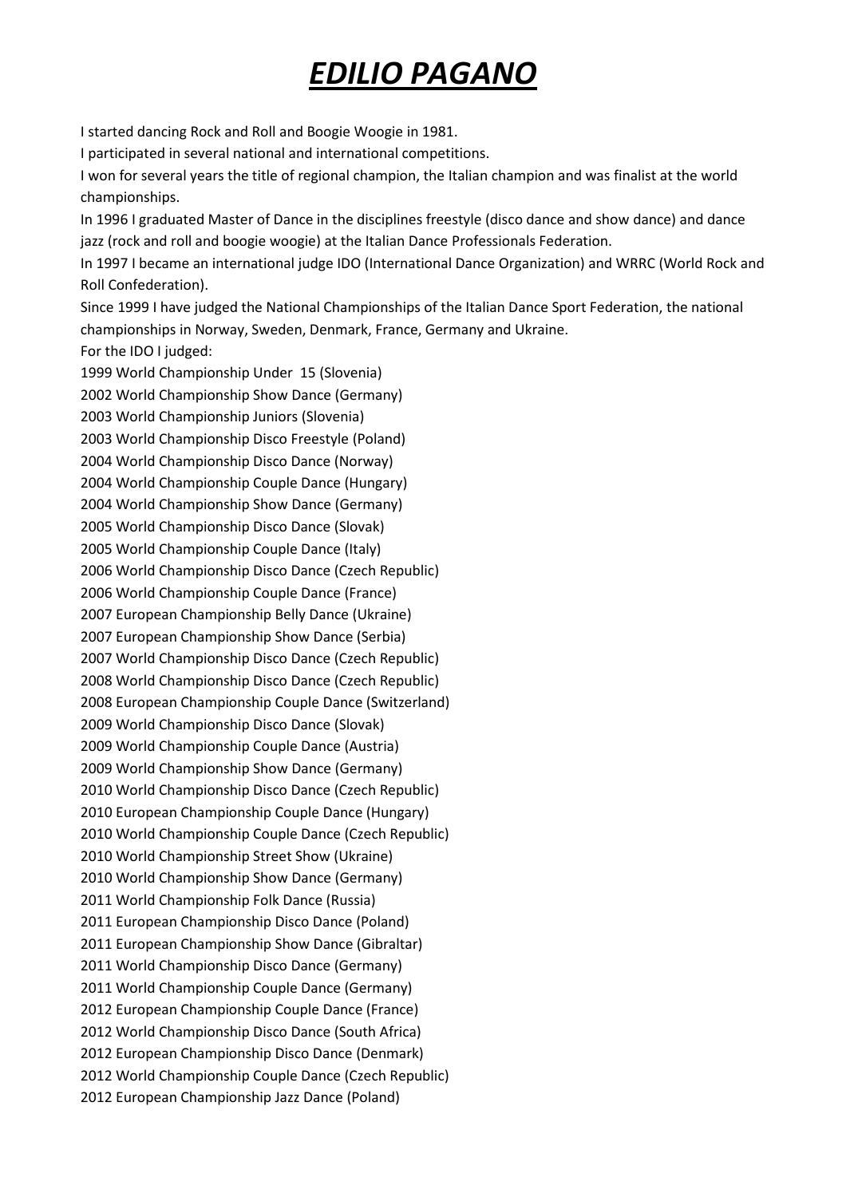## EDILIO PAGANO

I started dancing Rock and Roll and Boogie Woogie in 1981.

I participated in several national and international competitions.

I won for several years the title of regional champion, the Italian champion and was finalist at the world championships.

In 1996 I graduated Master of Dance in the disciplines freestyle (disco dance and show dance) and dance jazz (rock and roll and boogie woogie) at the Italian Dance Professionals Federation.

In 1997 I became an international judge IDO (International Dance Organization) and WRRC (World Rock and Roll Confederation).

Since 1999 I have judged the National Championships of the Italian Dance Sport Federation, the national championships in Norway, Sweden, Denmark, France, Germany and Ukraine. For the IDO I judged:

1999 World Championship Under 15 (Slovenia) 2002 World Championship Show Dance (Germany) 2003 World Championship Juniors (Slovenia) 2003 World Championship Disco Freestyle (Poland) 2004 World Championship Disco Dance (Norway) 2004 World Championship Couple Dance (Hungary) 2004 World Championship Show Dance (Germany) 2005 World Championship Disco Dance (Slovak) 2005 World Championship Couple Dance (Italy) 2006 World Championship Disco Dance (Czech Republic) 2006 World Championship Couple Dance (France) 2007 European Championship Belly Dance (Ukraine) 2007 European Championship Show Dance (Serbia) 2007 World Championship Disco Dance (Czech Republic) 2008 World Championship Disco Dance (Czech Republic) 2008 European Championship Couple Dance (Switzerland) 2009 World Championship Disco Dance (Slovak) 2009 World Championship Couple Dance (Austria) 2009 World Championship Show Dance (Germany) 2010 World Championship Disco Dance (Czech Republic) 2010 European Championship Couple Dance (Hungary) 2010 World Championship Couple Dance (Czech Republic) 2010 World Championship Street Show (Ukraine) 2010 World Championship Show Dance (Germany) 2011 World Championship Folk Dance (Russia) 2011 European Championship Disco Dance (Poland) 2011 European Championship Show Dance (Gibraltar) 2011 World Championship Disco Dance (Germany) 2011 World Championship Couple Dance (Germany) 2012 European Championship Couple Dance (France) 2012 World Championship Disco Dance (South Africa) 2012 European Championship Disco Dance (Denmark) 2012 World Championship Couple Dance (Czech Republic) 2012 European Championship Jazz Dance (Poland)